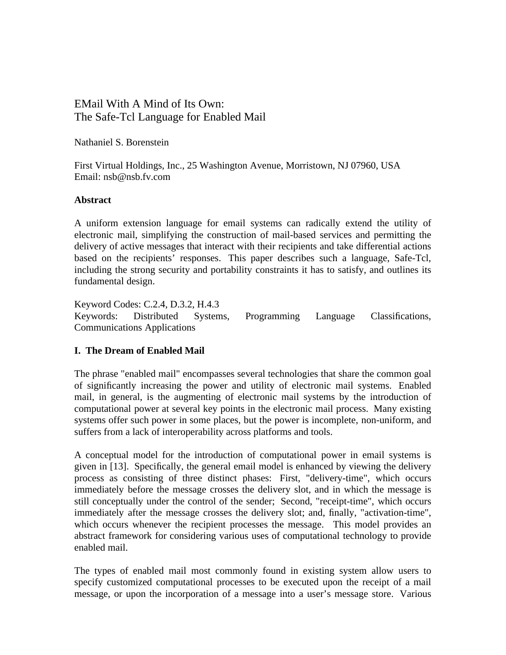# EMail With A Mind of Its Own: The Safe-Tcl Language for Enabled Mail

Nathaniel S. Borenstein

First Virtual Holdings, Inc., 25 Washington Avenue, Morristown, NJ 07960, USA Email: nsb@nsb.fv.com

## **Abstract**

A uniform extension language for email systems can radically extend the utility of electronic mail, simplifying the construction of mail-based services and permitting the delivery of active messages that interact with their recipients and take differential actions based on the recipients' responses. This paper describes such a language, Safe-Tcl, including the strong security and portability constraints it has to satisfy, and outlines its fundamental design.

Keyword Codes: C.2.4, D.3.2, H.4.3 Keywords: Distributed Systems, Programming Language Classifications, Communications Applications

# **I. The Dream of Enabled Mail**

The phrase "enabled mail" encompasses several technologies that share the common goal of significantly increasing the power and utility of electronic mail systems. Enabled mail, in general, is the augmenting of electronic mail systems by the introduction of computational power at several key points in the electronic mail process. Many existing systems offer such power in some places, but the power is incomplete, non-uniform, and suffers from a lack of interoperability across platforms and tools.

A conceptual model for the introduction of computational power in email systems is given in [13]. Specifically, the general email model is enhanced by viewing the delivery process as consisting of three distinct phases: First, "delivery-time", which occurs immediately before the message crosses the delivery slot, and in which the message is still conceptually under the control of the sender; Second, "receipt-time", which occurs immediately after the message crosses the delivery slot; and, finally, "activation-time", which occurs whenever the recipient processes the message. This model provides an abstract framework for considering various uses of computational technology to provide enabled mail.

The types of enabled mail most commonly found in existing system allow users to specify customized computational processes to be executed upon the receipt of a mail message, or upon the incorporation of a message into a user's message store. Various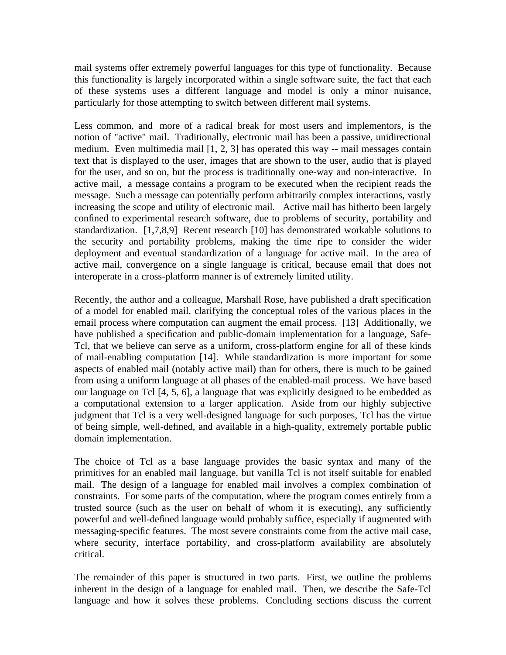mail systems offer extremely powerful languages for this type of functionality. Because this functionality is largely incorporated within a single software suite, the fact that each of these systems uses a different language and model is only a minor nuisance, particularly for those attempting to switch between different mail systems.

Less common, and more of a radical break for most users and implementors, is the notion of "active" mail. Traditionally, electronic mail has been a passive, unidirectional medium. Even multimedia mail [1, 2, 3] has operated this way -- mail messages contain text that is displayed to the user, images that are shown to the user, audio that is played for the user, and so on, but the process is traditionally one-way and non-interactive. In active mail, a message contains a program to be executed when the recipient reads the message. Such a message can potentially perform arbitrarily complex interactions, vastly increasing the scope and utility of electronic mail. Active mail has hitherto been largely confined to experimental research software, due to problems of security, portability and standardization. [1,7,8,9] Recent research [10] has demonstrated workable solutions to the security and portability problems, making the time ripe to consider the wider deployment and eventual standardization of a language for active mail. In the area of active mail, convergence on a single language is critical, because email that does not interoperate in a cross-platform manner is of extremely limited utility.

Recently, the author and a colleague, Marshall Rose, have published a draft specification of a model for enabled mail, clarifying the conceptual roles of the various places in the email process where computation can augment the email process. [13] Additionally, we have published a specification and public-domain implementation for a language, Safe-Tcl, that we believe can serve as a uniform, cross-platform engine for all of these kinds of mail-enabling computation [14]. While standardization is more important for some aspects of enabled mail (notably active mail) than for others, there is much to be gained from using a uniform language at all phases of the enabled-mail process. We have based our language on Tcl [4, 5, 6], a language that was explicitly designed to be embedded as a computational extension to a larger application. Aside from our highly subjective judgment that Tcl is a very well-designed language for such purposes, Tcl has the virtue of being simple, well-defined, and available in a high-quality, extremely portable public domain implementation.

The choice of Tcl as a base language provides the basic syntax and many of the primitives for an enabled mail language, but vanilla Tcl is not itself suitable for enabled mail. The design of a language for enabled mail involves a complex combination of constraints. For some parts of the computation, where the program comes entirely from a trusted source (such as the user on behalf of whom it is executing), any sufficiently powerful and well-defined language would probably suffice, especially if augmented with messaging-specific features. The most severe constraints come from the active mail case, where security, interface portability, and cross-platform availability are absolutely critical.

The remainder of this paper is structured in two parts. First, we outline the problems inherent in the design of a language for enabled mail. Then, we describe the Safe-Tcl language and how it solves these problems. Concluding sections discuss the current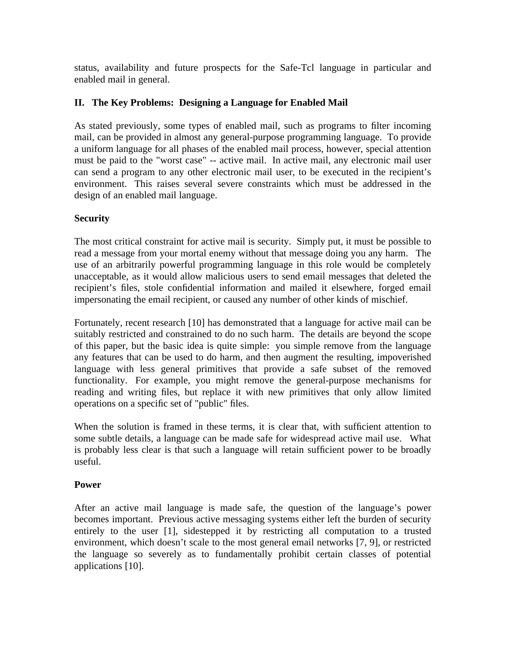status, availability and future prospects for the Safe-Tcl language in particular and enabled mail in general.

#### **II. The Key Problems: Designing a Language for Enabled Mail**

As stated previously, some types of enabled mail, such as programs to filter incoming mail, can be provided in almost any general-purpose programming language. To provide a uniform language for all phases of the enabled mail process, however, special attention must be paid to the "worst case" -- active mail. In active mail, any electronic mail user can send a program to any other electronic mail user, to be executed in the recipient's environment. This raises several severe constraints which must be addressed in the design of an enabled mail language.

## **Security**

The most critical constraint for active mail is security. Simply put, it must be possible to read a message from your mortal enemy without that message doing you any harm. The use of an arbitrarily powerful programming language in this role would be completely unacceptable, as it would allow malicious users to send email messages that deleted the recipient's files, stole confidential information and mailed it elsewhere, forged email impersonating the email recipient, or caused any number of other kinds of mischief.

Fortunately, recent research [10] has demonstrated that a language for active mail can be suitably restricted and constrained to do no such harm. The details are beyond the scope of this paper, but the basic idea is quite simple: you simple remove from the language any features that can be used to do harm, and then augment the resulting, impoverished language with less general primitives that provide a safe subset of the removed functionality. For example, you might remove the general-purpose mechanisms for reading and writing files, but replace it with new primitives that only allow limited operations on a specific set of "public" files.

When the solution is framed in these terms, it is clear that, with sufficient attention to some subtle details, a language can be made safe for widespread active mail use. What is probably less clear is that such a language will retain sufficient power to be broadly useful.

#### **Power**

After an active mail language is made safe, the question of the language's power becomes important. Previous active messaging systems either left the burden of security entirely to the user [1], sidestepped it by restricting all computation to a trusted environment, which doesn't scale to the most general email networks [7, 9], or restricted the language so severely as to fundamentally prohibit certain classes of potential applications [10].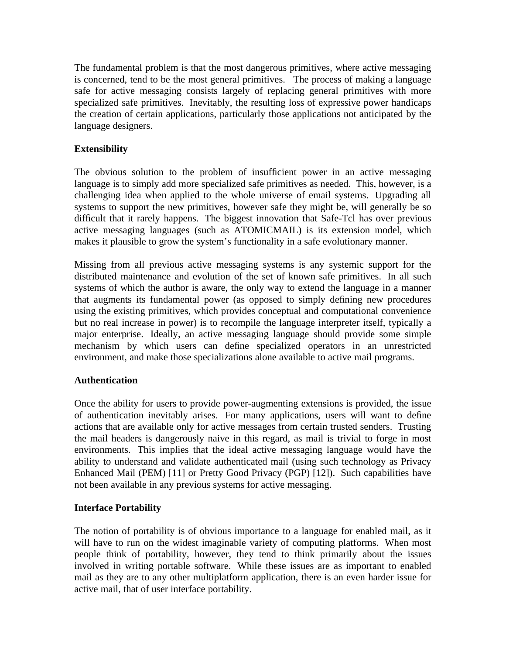The fundamental problem is that the most dangerous primitives, where active messaging is concerned, tend to be the most general primitives. The process of making a language safe for active messaging consists largely of replacing general primitives with more specialized safe primitives. Inevitably, the resulting loss of expressive power handicaps the creation of certain applications, particularly those applications not anticipated by the language designers.

# **Extensibility**

The obvious solution to the problem of insufficient power in an active messaging language is to simply add more specialized safe primitives as needed. This, however, is a challenging idea when applied to the whole universe of email systems. Upgrading all systems to support the new primitives, however safe they might be, will generally be so difficult that it rarely happens. The biggest innovation that Safe-Tcl has over previous active messaging languages (such as ATOMICMAIL) is its extension model, which makes it plausible to grow the system's functionality in a safe evolutionary manner.

Missing from all previous active messaging systems is any systemic support for the distributed maintenance and evolution of the set of known safe primitives. In all such systems of which the author is aware, the only way to extend the language in a manner that augments its fundamental power (as opposed to simply defining new procedures using the existing primitives, which provides conceptual and computational convenience but no real increase in power) is to recompile the language interpreter itself, typically a major enterprise. Ideally, an active messaging language should provide some simple mechanism by which users can define specialized operators in an unrestricted environment, and make those specializations alone available to active mail programs.

# **Authentication**

Once the ability for users to provide power-augmenting extensions is provided, the issue of authentication inevitably arises. For many applications, users will want to define actions that are available only for active messages from certain trusted senders. Trusting the mail headers is dangerously naive in this regard, as mail is trivial to forge in most environments. This implies that the ideal active messaging language would have the ability to understand and validate authenticated mail (using such technology as Privacy Enhanced Mail (PEM) [11] or Pretty Good Privacy (PGP) [12]). Such capabilities have not been available in any previous systems for active messaging.

# **Interface Portability**

The notion of portability is of obvious importance to a language for enabled mail, as it will have to run on the widest imaginable variety of computing platforms. When most people think of portability, however, they tend to think primarily about the issues involved in writing portable software. While these issues are as important to enabled mail as they are to any other multiplatform application, there is an even harder issue for active mail, that of user interface portability.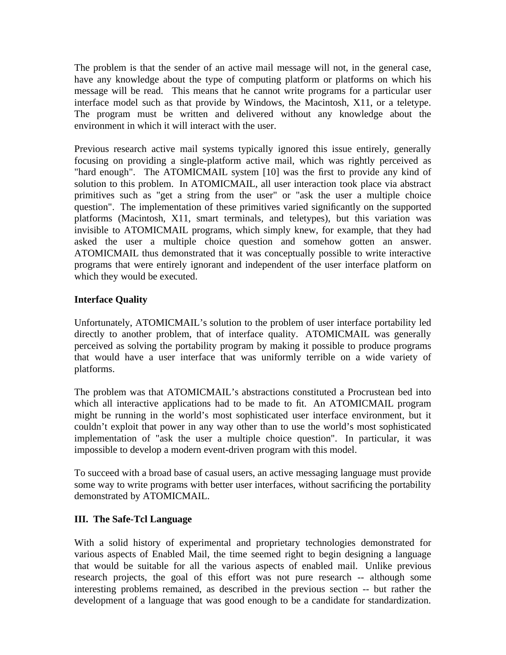The problem is that the sender of an active mail message will not, in the general case, have any knowledge about the type of computing platform or platforms on which his message will be read. This means that he cannot write programs for a particular user interface model such as that provide by Windows, the Macintosh, X11, or a teletype. The program must be written and delivered without any knowledge about the environment in which it will interact with the user.

Previous research active mail systems typically ignored this issue entirely, generally focusing on providing a single-platform active mail, which was rightly perceived as "hard enough". The ATOMICMAIL system [10] was the first to provide any kind of solution to this problem. In ATOMICMAIL, all user interaction took place via abstract primitives such as "get a string from the user" or "ask the user a multiple choice question". The implementation of these primitives varied significantly on the supported platforms (Macintosh, X11, smart terminals, and teletypes), but this variation was invisible to ATOMICMAIL programs, which simply knew, for example, that they had asked the user a multiple choice question and somehow gotten an answer. ATOMICMAIL thus demonstrated that it was conceptually possible to write interactive programs that were entirely ignorant and independent of the user interface platform on which they would be executed.

# **Interface Quality**

Unfortunately, ATOMICMAIL's solution to the problem of user interface portability led directly to another problem, that of interface quality. ATOMICMAIL was generally perceived as solving the portability program by making it possible to produce programs that would have a user interface that was uniformly terrible on a wide variety of platforms.

The problem was that ATOMICMAIL's abstractions constituted a Procrustean bed into which all interactive applications had to be made to fit. An ATOMICMAIL program might be running in the world's most sophisticated user interface environment, but it couldn't exploit that power in any way other than to use the world's most sophisticated implementation of "ask the user a multiple choice question". In particular, it was impossible to develop a modern event-driven program with this model.

To succeed with a broad base of casual users, an active messaging language must provide some way to write programs with better user interfaces, without sacrificing the portability demonstrated by ATOMICMAIL.

# **III. The Safe-Tcl Language**

With a solid history of experimental and proprietary technologies demonstrated for various aspects of Enabled Mail, the time seemed right to begin designing a language that would be suitable for all the various aspects of enabled mail. Unlike previous research projects, the goal of this effort was not pure research -- although some interesting problems remained, as described in the previous section -- but rather the development of a language that was good enough to be a candidate for standardization.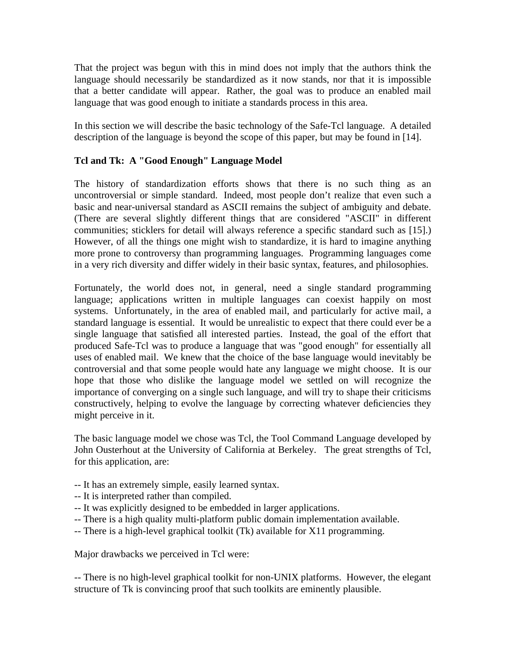That the project was begun with this in mind does not imply that the authors think the language should necessarily be standardized as it now stands, nor that it is impossible that a better candidate will appear. Rather, the goal was to produce an enabled mail language that was good enough to initiate a standards process in this area.

In this section we will describe the basic technology of the Safe-Tcl language. A detailed description of the language is beyond the scope of this paper, but may be found in [14].

## **Tcl and Tk: A "Good Enough" Language Model**

The history of standardization efforts shows that there is no such thing as an uncontroversial or simple standard. Indeed, most people don't realize that even such a basic and near-universal standard as ASCII remains the subject of ambiguity and debate. (There are several slightly different things that are considered "ASCII" in different communities; sticklers for detail will always reference a specific standard such as [15].) However, of all the things one might wish to standardize, it is hard to imagine anything more prone to controversy than programming languages. Programming languages come in a very rich diversity and differ widely in their basic syntax, features, and philosophies.

Fortunately, the world does not, in general, need a single standard programming language; applications written in multiple languages can coexist happily on most systems. Unfortunately, in the area of enabled mail, and particularly for active mail, a standard language is essential. It would be unrealistic to expect that there could ever be a single language that satisfied all interested parties. Instead, the goal of the effort that produced Safe-Tcl was to produce a language that was "good enough" for essentially all uses of enabled mail. We knew that the choice of the base language would inevitably be controversial and that some people would hate any language we might choose. It is our hope that those who dislike the language model we settled on will recognize the importance of converging on a single such language, and will try to shape their criticisms constructively, helping to evolve the language by correcting whatever deficiencies they might perceive in it.

The basic language model we chose was Tcl, the Tool Command Language developed by John Ousterhout at the University of California at Berkeley. The great strengths of Tcl, for this application, are:

- -- It has an extremely simple, easily learned syntax.
- -- It is interpreted rather than compiled.
- -- It was explicitly designed to be embedded in larger applications.
- -- There is a high quality multi-platform public domain implementation available.
- -- There is a high-level graphical toolkit (Tk) available for X11 programming.

Major drawbacks we perceived in Tcl were:

-- There is no high-level graphical toolkit for non-UNIX platforms. However, the elegant structure of Tk is convincing proof that such toolkits are eminently plausible.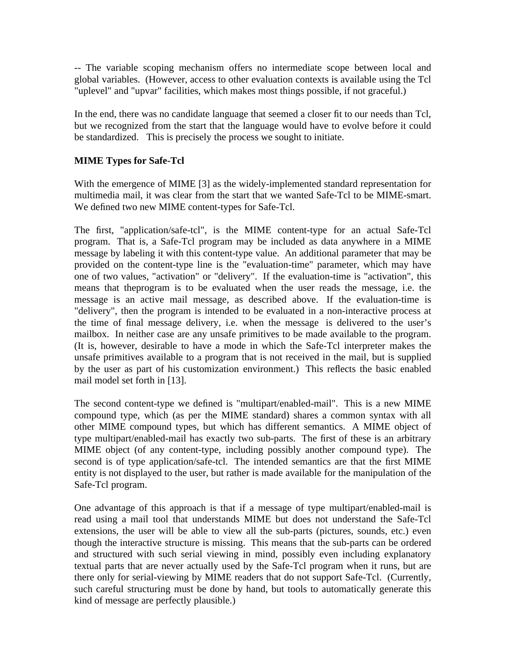-- The variable scoping mechanism offers no intermediate scope between local and global variables. (However, access to other evaluation contexts is available using the Tcl "uplevel" and "upvar" facilities, which makes most things possible, if not graceful.)

In the end, there was no candidate language that seemed a closer fit to our needs than Tcl, but we recognized from the start that the language would have to evolve before it could be standardized. This is precisely the process we sought to initiate.

## **MIME Types for Safe-Tcl**

With the emergence of MIME [3] as the widely-implemented standard representation for multimedia mail, it was clear from the start that we wanted Safe-Tcl to be MIME-smart. We defined two new MIME content-types for Safe-Tcl.

The first, "application/safe-tcl", is the MIME content-type for an actual Safe-Tcl program. That is, a Safe-Tcl program may be included as data anywhere in a MIME message by labeling it with this content-type value. An additional parameter that may be provided on the content-type line is the "evaluation-time" parameter, which may have one of two values, "activation" or "delivery". If the evaluation-time is "activation", this means that theprogram is to be evaluated when the user reads the message, i.e. the message is an active mail message, as described above. If the evaluation-time is "delivery", then the program is intended to be evaluated in a non-interactive process at the time of final message delivery, i.e. when the message is delivered to the user's mailbox. In neither case are any unsafe primitives to be made available to the program. (It is, however, desirable to have a mode in which the Safe-Tcl interpreter makes the unsafe primitives available to a program that is not received in the mail, but is supplied by the user as part of his customization environment.) This reflects the basic enabled mail model set forth in [13].

The second content-type we defined is "multipart/enabled-mail". This is a new MIME compound type, which (as per the MIME standard) shares a common syntax with all other MIME compound types, but which has different semantics. A MIME object of type multipart/enabled-mail has exactly two sub-parts. The first of these is an arbitrary MIME object (of any content-type, including possibly another compound type). The second is of type application/safe-tcl. The intended semantics are that the first MIME entity is not displayed to the user, but rather is made available for the manipulation of the Safe-Tcl program.

One advantage of this approach is that if a message of type multipart/enabled-mail is read using a mail tool that understands MIME but does not understand the Safe-Tcl extensions, the user will be able to view all the sub-parts (pictures, sounds, etc.) even though the interactive structure is missing. This means that the sub-parts can be ordered and structured with such serial viewing in mind, possibly even including explanatory textual parts that are never actually used by the Safe-Tcl program when it runs, but are there only for serial-viewing by MIME readers that do not support Safe-Tcl. (Currently, such careful structuring must be done by hand, but tools to automatically generate this kind of message are perfectly plausible.)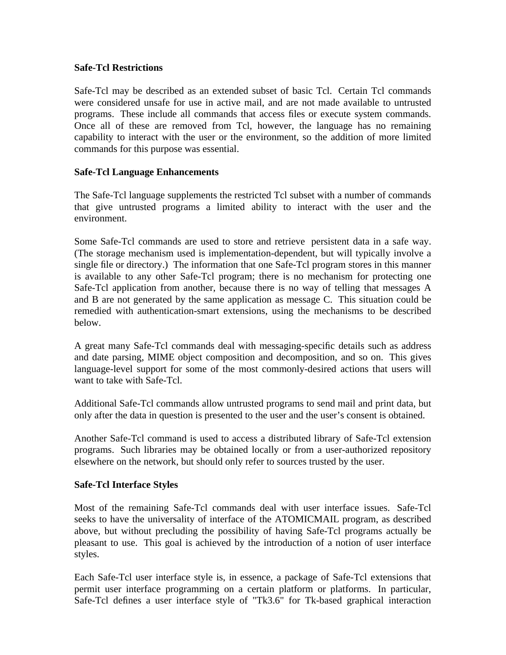## **Safe-Tcl Restrictions**

Safe-Tcl may be described as an extended subset of basic Tcl. Certain Tcl commands were considered unsafe for use in active mail, and are not made available to untrusted programs. These include all commands that access files or execute system commands. Once all of these are removed from Tcl, however, the language has no remaining capability to interact with the user or the environment, so the addition of more limited commands for this purpose was essential.

## **Safe-Tcl Language Enhancements**

The Safe-Tcl language supplements the restricted Tcl subset with a number of commands that give untrusted programs a limited ability to interact with the user and the environment.

Some Safe-Tcl commands are used to store and retrieve persistent data in a safe way. (The storage mechanism used is implementation-dependent, but will typically involve a single file or directory.) The information that one Safe-Tcl program stores in this manner is available to any other Safe-Tcl program; there is no mechanism for protecting one Safe-Tcl application from another, because there is no way of telling that messages A and B are not generated by the same application as message C. This situation could be remedied with authentication-smart extensions, using the mechanisms to be described below.

A great many Safe-Tcl commands deal with messaging-specific details such as address and date parsing, MIME object composition and decomposition, and so on. This gives language-level support for some of the most commonly-desired actions that users will want to take with Safe-Tcl.

Additional Safe-Tcl commands allow untrusted programs to send mail and print data, but only after the data in question is presented to the user and the user's consent is obtained.

Another Safe-Tcl command is used to access a distributed library of Safe-Tcl extension programs. Such libraries may be obtained locally or from a user-authorized repository elsewhere on the network, but should only refer to sources trusted by the user.

#### **Safe-Tcl Interface Styles**

Most of the remaining Safe-Tcl commands deal with user interface issues. Safe-Tcl seeks to have the universality of interface of the ATOMICMAIL program, as described above, but without precluding the possibility of having Safe-Tcl programs actually be pleasant to use. This goal is achieved by the introduction of a notion of user interface styles.

Each Safe-Tcl user interface style is, in essence, a package of Safe-Tcl extensions that permit user interface programming on a certain platform or platforms. In particular, Safe-Tcl defines a user interface style of "Tk3.6" for Tk-based graphical interaction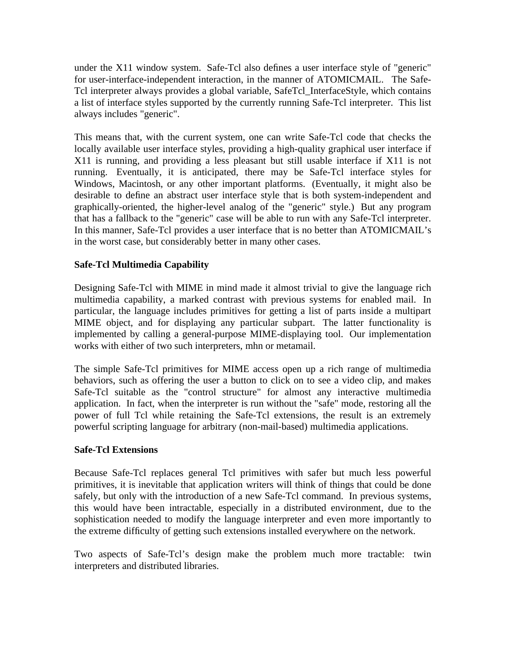under the X11 window system. Safe-Tcl also defines a user interface style of "generic" for user-interface-independent interaction, in the manner of ATOMICMAIL. The Safe-Tcl interpreter always provides a global variable, SafeTcl\_InterfaceStyle, which contains a list of interface styles supported by the currently running Safe-Tcl interpreter. This list always includes "generic".

This means that, with the current system, one can write Safe-Tcl code that checks the locally available user interface styles, providing a high-quality graphical user interface if X11 is running, and providing a less pleasant but still usable interface if X11 is not running. Eventually, it is anticipated, there may be Safe-Tcl interface styles for Windows, Macintosh, or any other important platforms. (Eventually, it might also be desirable to define an abstract user interface style that is both system-independent and graphically-oriented, the higher-level analog of the "generic" style.) But any program that has a fallback to the "generic" case will be able to run with any Safe-Tcl interpreter. In this manner, Safe-Tcl provides a user interface that is no better than ATOMICMAIL's in the worst case, but considerably better in many other cases.

# **Safe-Tcl Multimedia Capability**

Designing Safe-Tcl with MIME in mind made it almost trivial to give the language rich multimedia capability, a marked contrast with previous systems for enabled mail. In particular, the language includes primitives for getting a list of parts inside a multipart MIME object, and for displaying any particular subpart. The latter functionality is implemented by calling a general-purpose MIME-displaying tool. Our implementation works with either of two such interpreters, mhn or metamail.

The simple Safe-Tcl primitives for MIME access open up a rich range of multimedia behaviors, such as offering the user a button to click on to see a video clip, and makes Safe-Tcl suitable as the "control structure" for almost any interactive multimedia application. In fact, when the interpreter is run without the "safe" mode, restoring all the power of full Tcl while retaining the Safe-Tcl extensions, the result is an extremely powerful scripting language for arbitrary (non-mail-based) multimedia applications.

#### **Safe-Tcl Extensions**

Because Safe-Tcl replaces general Tcl primitives with safer but much less powerful primitives, it is inevitable that application writers will think of things that could be done safely, but only with the introduction of a new Safe-Tcl command. In previous systems, this would have been intractable, especially in a distributed environment, due to the sophistication needed to modify the language interpreter and even more importantly to the extreme difficulty of getting such extensions installed everywhere on the network.

Two aspects of Safe-Tcl's design make the problem much more tractable: twin interpreters and distributed libraries.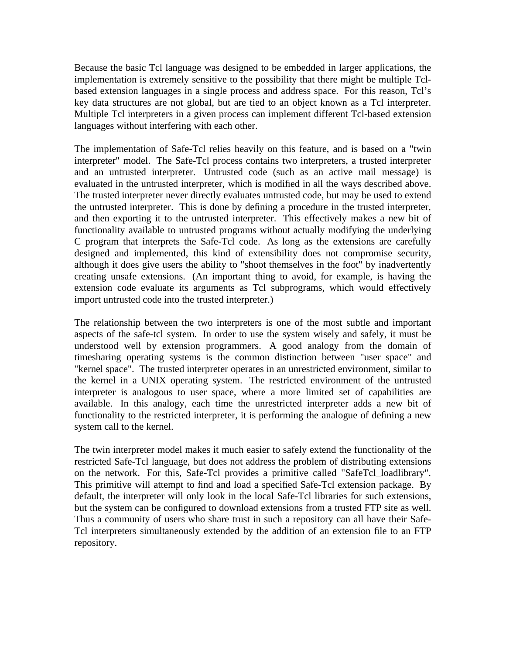Because the basic Tcl language was designed to be embedded in larger applications, the implementation is extremely sensitive to the possibility that there might be multiple Tclbased extension languages in a single process and address space. For this reason, Tcl's key data structures are not global, but are tied to an object known as a Tcl interpreter. Multiple Tcl interpreters in a given process can implement different Tcl-based extension languages without interfering with each other.

The implementation of Safe-Tcl relies heavily on this feature, and is based on a "twin interpreter" model. The Safe-Tcl process contains two interpreters, a trusted interpreter and an untrusted interpreter. Untrusted code (such as an active mail message) is evaluated in the untrusted interpreter, which is modified in all the ways described above. The trusted interpreter never directly evaluates untrusted code, but may be used to extend the untrusted interpreter. This is done by defining a procedure in the trusted interpreter, and then exporting it to the untrusted interpreter. This effectively makes a new bit of functionality available to untrusted programs without actually modifying the underlying C program that interprets the Safe-Tcl code. As long as the extensions are carefully designed and implemented, this kind of extensibility does not compromise security, although it does give users the ability to "shoot themselves in the foot" by inadvertently creating unsafe extensions. (An important thing to avoid, for example, is having the extension code evaluate its arguments as Tcl subprograms, which would effectively import untrusted code into the trusted interpreter.)

The relationship between the two interpreters is one of the most subtle and important aspects of the safe-tcl system. In order to use the system wisely and safely, it must be understood well by extension programmers. A good analogy from the domain of timesharing operating systems is the common distinction between "user space" and "kernel space". The trusted interpreter operates in an unrestricted environment, similar to the kernel in a UNIX operating system. The restricted environment of the untrusted interpreter is analogous to user space, where a more limited set of capabilities are available. In this analogy, each time the unrestricted interpreter adds a new bit of functionality to the restricted interpreter, it is performing the analogue of defining a new system call to the kernel.

The twin interpreter model makes it much easier to safely extend the functionality of the restricted Safe-Tcl language, but does not address the problem of distributing extensions on the network. For this, Safe-Tcl provides a primitive called "SafeTcl\_loadlibrary". This primitive will attempt to find and load a specified Safe-Tcl extension package. By default, the interpreter will only look in the local Safe-Tcl libraries for such extensions, but the system can be configured to download extensions from a trusted FTP site as well. Thus a community of users who share trust in such a repository can all have their Safe-Tcl interpreters simultaneously extended by the addition of an extension file to an FTP repository.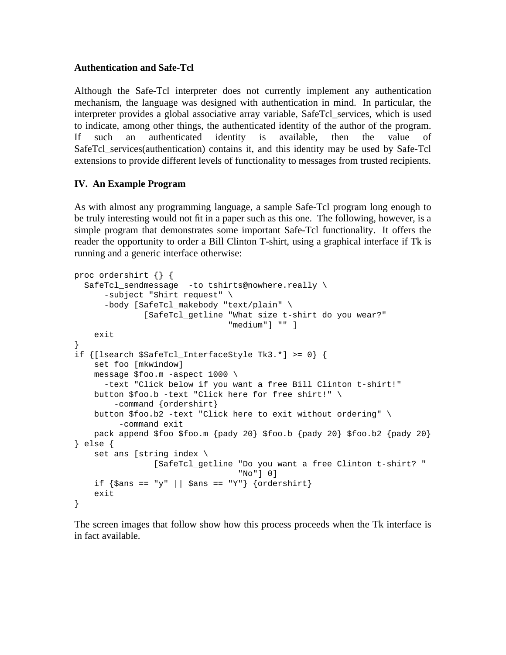## **Authentication and Safe-Tcl**

Although the Safe-Tcl interpreter does not currently implement any authentication mechanism, the language was designed with authentication in mind. In particular, the interpreter provides a global associative array variable, SafeTcl\_services, which is used to indicate, among other things, the authenticated identity of the author of the program. If such an authenticated identity is available, then the value of SafeTcl\_services(authentication) contains it, and this identity may be used by Safe-Tcl extensions to provide different levels of functionality to messages from trusted recipients.

## **IV. An Example Program**

As with almost any programming language, a sample Safe-Tcl program long enough to be truly interesting would not fit in a paper such as this one. The following, however, is a simple program that demonstrates some important Safe-Tcl functionality. It offers the reader the opportunity to order a Bill Clinton T-shirt, using a graphical interface if Tk is running and a generic interface otherwise:

```
proc ordershirt {} {
  SafeTcl_sendmessage -to tshirts@nowhere.really \
      -subject "Shirt request" \
      -body [SafeTcl_makebody "text/plain" \
              [SafeTcl_getline "What size t-shirt do you wear?"
                                "medium"] "" ]
    exit
}
if {[lsearch $SafeTcl_InterfaceStyle Tk3.*] >= 0} {
    set foo [mkwindow]
    message $foo.m -aspect 1000 \
      -text "Click below if you want a free Bill Clinton t-shirt!"
    button $foo.b -text "Click here for free shirt!" \
        -command {ordershirt}
    button $foo.b2 -text "Click here to exit without ordering" \
         -command exit
    pack append $foo $foo.m \{pay\ 20\} $foo.b \{pay\ 20\} $foo.b2 \{pady\ 20\}} else {
    set ans [string index \
                [SafeTcl_getline "Do you want a free Clinton t-shirt? "
                                  "No"] 0]
    if \{\text{sans} == "y" || \text{sans} == "Y" \} \{ordershift\}exit
}
```
The screen images that follow show how this process proceeds when the Tk interface is in fact available.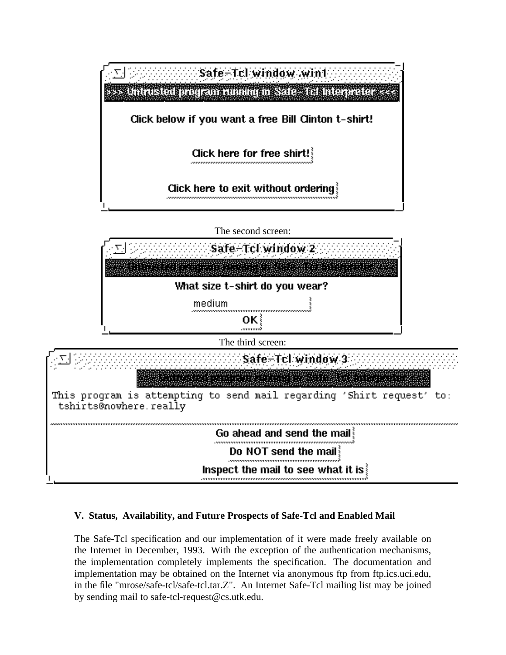

# **V. Status, Availability, and Future Prospects of Safe-Tcl and Enabled Mail**

The Safe-Tcl specification and our implementation of it were made freely available on the Internet in December, 1993. With the exception of the authentication mechanisms, the implementation completely implements the specification. The documentation and implementation may be obtained on the Internet via anonymous ftp from ftp.ics.uci.edu, in the file "mrose/safe-tcl/safe-tcl.tar.Z". An Internet Safe-Tcl mailing list may be joined by sending mail to safe-tcl-request@cs.utk.edu.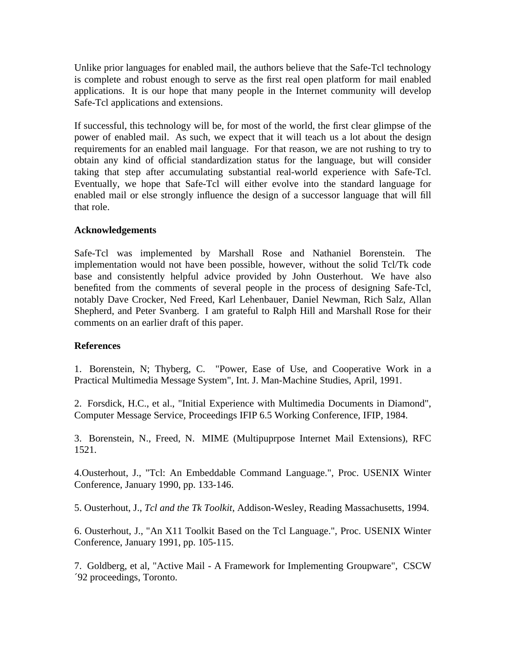Unlike prior languages for enabled mail, the authors believe that the Safe-Tcl technology is complete and robust enough to serve as the first real open platform for mail enabled applications. It is our hope that many people in the Internet community will develop Safe-Tcl applications and extensions.

If successful, this technology will be, for most of the world, the first clear glimpse of the power of enabled mail. As such, we expect that it will teach us a lot about the design requirements for an enabled mail language. For that reason, we are not rushing to try to obtain any kind of official standardization status for the language, but will consider taking that step after accumulating substantial real-world experience with Safe-Tcl. Eventually, we hope that Safe-Tcl will either evolve into the standard language for enabled mail or else strongly influence the design of a successor language that will fill that role.

## **Acknowledgements**

Safe-Tcl was implemented by Marshall Rose and Nathaniel Borenstein. The implementation would not have been possible, however, without the solid Tcl/Tk code base and consistently helpful advice provided by John Ousterhout. We have also benefited from the comments of several people in the process of designing Safe-Tcl, notably Dave Crocker, Ned Freed, Karl Lehenbauer, Daniel Newman, Rich Salz, Allan Shepherd, and Peter Svanberg. I am grateful to Ralph Hill and Marshall Rose for their comments on an earlier draft of this paper.

#### **References**

1. Borenstein, N; Thyberg, C. "Power, Ease of Use, and Cooperative Work in a Practical Multimedia Message System", Int. J. Man-Machine Studies, April, 1991.

2. Forsdick, H.C., et al., "Initial Experience with Multimedia Documents in Diamond", Computer Message Service, Proceedings IFIP 6.5 Working Conference, IFIP, 1984.

3. Borenstein, N., Freed, N. MIME (Multipuprpose Internet Mail Extensions), RFC 1521.

4.Ousterhout, J., "Tcl: An Embeddable Command Language.", Proc. USENIX Winter Conference, January 1990, pp. 133-146.

5. Ousterhout, J., *Tcl and the Tk Toolkit*, Addison-Wesley, Reading Massachusetts, 1994.

6. Ousterhout, J., "An X11 Toolkit Based on the Tcl Language.", Proc. USENIX Winter Conference, January 1991, pp. 105-115.

7. Goldberg, et al, "Active Mail - A Framework for Implementing Groupware", CSCW ´92 proceedings, Toronto.